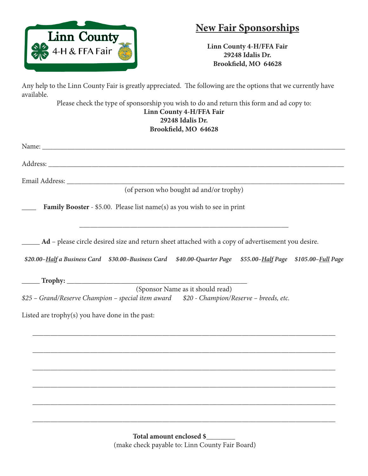

## **New Fair Sponsorships**

**Linn County 4-H/FFA Fair 29248 Idalis Dr. Brookfield, MO 64628**

Any help to the Linn County Fair is greatly appreciated. The following are the options that we currently have available.

Please check the type of sponsorship you wish to do and return this form and ad copy to: **Linn County 4-H/FFA Fair 29248 Idalis Dr. Brookfield, MO 64628**

| (of person who bought ad and/or trophy)                                                                                       |
|-------------------------------------------------------------------------------------------------------------------------------|
| Family Booster - \$5.00. Please list name(s) as you wish to see in print                                                      |
| Ad - please circle desired size and return sheet attached with a copy of advertisement you desire.                            |
| \$20.00-Half a Business Card \$30.00-Business Card \$40.00-Quarter Page \$55.00-Half Page \$105.00-Full Page                  |
|                                                                                                                               |
| (Sponsor Name as it should read)<br>\$25 – Grand/Reserve Champion – special item award \$20 - Champion/Reserve – breeds, etc. |
| Listed are trophy(s) you have done in the past:                                                                               |
|                                                                                                                               |
|                                                                                                                               |
|                                                                                                                               |
|                                                                                                                               |

\_\_\_\_\_\_\_\_\_\_\_\_\_\_\_\_\_\_\_\_\_\_\_\_\_\_\_\_\_\_\_\_\_\_\_\_\_\_\_\_\_\_\_\_\_\_\_\_\_\_\_\_\_\_\_\_\_\_\_\_\_\_\_\_\_\_\_\_\_\_\_\_\_\_\_\_\_\_\_\_\_\_\_\_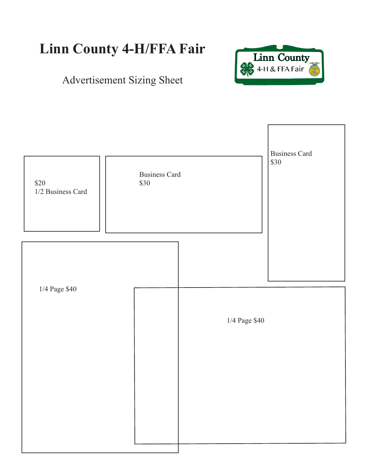## **Linn County 4-H/FFA Fair**



## Advertisement Sizing Sheet